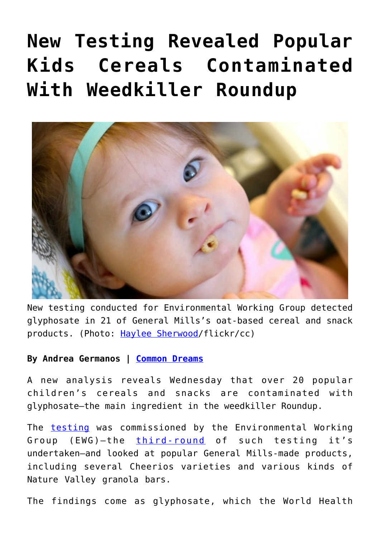## **[New Testing Revealed Popular](https://consciouslifenews.com/new-testing-revealed-popular-kids-cereals-contaminated-with-weedkiller-roundup/11170477/) [Kids Cereals Contaminated](https://consciouslifenews.com/new-testing-revealed-popular-kids-cereals-contaminated-with-weedkiller-roundup/11170477/) [With Weedkiller Roundup](https://consciouslifenews.com/new-testing-revealed-popular-kids-cereals-contaminated-with-weedkiller-roundup/11170477/)**



New testing conducted for Environmental Working Group detected glyphosate in 21 of General Mills's oat-based cereal and snack products. (Photo: [Haylee Sherwood/](https://www.flickr.com/photos/120077902@N02/13236406853/)flickr/cc)

## **By Andrea Germanos | [Common Dreams](https://www.commondreams.org/news/2019/06/12/new-testing-revealed-popular-kids-cereals-contaminated-weedkiller-roundup)**

A new analysis reveals Wednesday that over 20 popular children's cereals and snacks are contaminated with glyphosate—the main ingredient in the weedkiller Roundup.

The **[testing](https://www.ewg.org/childrenshealth/monsanto-weedkiller-still-contaminates-foods-marketed-to-children/)** was commissioned by the Environmental Working Group (EWG)—the [third-](https://www.ewg.org/childrenshealth/glyphosateincereal/)[round](https://www.ewg.org/release/roundup-breakfast-part-2-new-tests-weed-killer-found-all-kids-cereals-sampled) of such testing it's undertaken—and looked at popular General Mills-made products, including several Cheerios varieties and various kinds of Nature Valley granola bars.

The findings come as glyphosate, which the World Health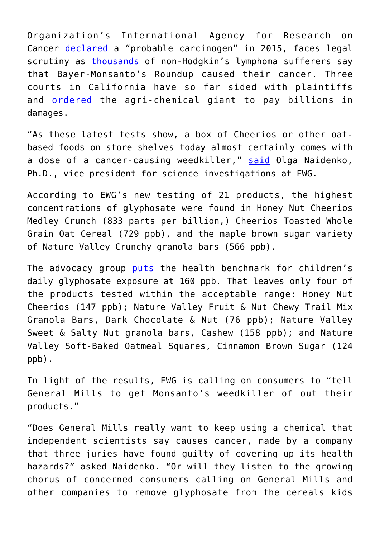Organization's International Agency for Research on Cancer [declared](https://www.commondreams.org/news/2015/03/23/glyphosate-favored-chemical-monsanto-dow-declared-probable-source-cancer-humans) a "probable carcinogen" in 2015, faces legal scrutiny as [thousands](https://www.cnn.com/2018/06/17/us/monsanto-roundup-dewayne-johnson-trial/index.html%20) of non-Hodgkin's lymphoma sufferers say that Bayer-Monsanto's Roundup caused their cancer. Three courts in California have so far sided with plaintiffs and [ordered](https://www.commondreams.org/news/2019/05/14/historic-verdict-jury-orders-monsanto-pay-record-2-billion-couple-roundup-cancer) the agri-chemical giant to pay billions in damages.

"As these latest tests show, a box of Cheerios or other oatbased foods on store shelves today almost certainly comes with a dose of a cancer-causing weedkiller," [said](https://www.ewg.org/release/new-round-ewg-tests-finds-more-children-s-cereals-tainted-monsanto-s-cancer-causing) Olga Naidenko, Ph.D., vice president for science investigations at EWG.

According to EWG's new testing of 21 products, the highest concentrations of glyphosate were found in Honey Nut Cheerios Medley Crunch (833 parts per billion,) Cheerios Toasted Whole Grain Oat Cereal (729 ppb), and the maple brown sugar variety of Nature Valley Crunchy granola bars (566 ppb).

The advocacy group [puts](https://www.ewg.org/news-and-analysis/2018/08/how-does-ewg-set-health-benchmark-glyphosate-exposure) the health benchmark for children's daily glyphosate exposure at 160 ppb. That leaves only four of the products tested within the acceptable range: Honey Nut Cheerios (147 ppb); Nature Valley Fruit & Nut Chewy Trail Mix Granola Bars, Dark Chocolate & Nut (76 ppb); Nature Valley Sweet & Salty Nut granola bars, Cashew (158 ppb); and Nature Valley Soft-Baked Oatmeal Squares, Cinnamon Brown Sugar (124 ppb).

In light of the results, EWG is calling on consumers to "tell General Mills to get Monsanto's weedkiller of out their products."

"Does General Mills really want to keep using a chemical that independent scientists say causes cancer, made by a company that three juries have found guilty of covering up its health hazards?" asked Naidenko. "Or will they listen to the growing chorus of concerned consumers calling on General Mills and other companies to remove glyphosate from the cereals kids